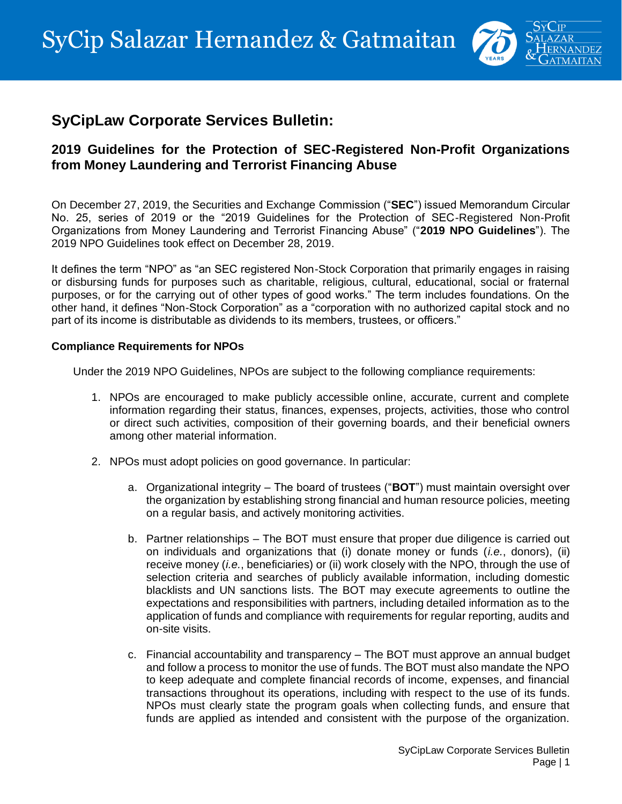

# **SyCipLaw Corporate Services Bulletin:**

## **2019 Guidelines for the Protection of SEC-Registered Non-Profit Organizations from Money Laundering and Terrorist Financing Abuse**

On December 27, 2019, the Securities and Exchange Commission ("**SEC**") issued Memorandum Circular No. 25, series of 2019 or the "2019 Guidelines for the Protection of SEC-Registered Non-Profit Organizations from Money Laundering and Terrorist Financing Abuse" ("**2019 NPO Guidelines**"). The 2019 NPO Guidelines took effect on December 28, 2019.

It defines the term "NPO" as "an SEC registered Non-Stock Corporation that primarily engages in raising or disbursing funds for purposes such as charitable, religious, cultural, educational, social or fraternal purposes, or for the carrying out of other types of good works." The term includes foundations. On the other hand, it defines "Non-Stock Corporation" as a "corporation with no authorized capital stock and no part of its income is distributable as dividends to its members, trustees, or officers."

### **Compliance Requirements for NPOs**

Under the 2019 NPO Guidelines, NPOs are subject to the following compliance requirements:

- 1. NPOs are encouraged to make publicly accessible online, accurate, current and complete information regarding their status, finances, expenses, projects, activities, those who control or direct such activities, composition of their governing boards, and their beneficial owners among other material information.
- 2. NPOs must adopt policies on good governance. In particular:
	- a. Organizational integrity The board of trustees ("**BOT**") must maintain oversight over the organization by establishing strong financial and human resource policies, meeting on a regular basis, and actively monitoring activities.
	- b. Partner relationships The BOT must ensure that proper due diligence is carried out on individuals and organizations that (i) donate money or funds (*i.e.*, donors), (ii) receive money (*i.e.*, beneficiaries) or (ii) work closely with the NPO, through the use of selection criteria and searches of publicly available information, including domestic blacklists and UN sanctions lists. The BOT may execute agreements to outline the expectations and responsibilities with partners, including detailed information as to the application of funds and compliance with requirements for regular reporting, audits and on-site visits.
	- c. Financial accountability and transparency The BOT must approve an annual budget and follow a process to monitor the use of funds. The BOT must also mandate the NPO to keep adequate and complete financial records of income, expenses, and financial transactions throughout its operations, including with respect to the use of its funds. NPOs must clearly state the program goals when collecting funds, and ensure that funds are applied as intended and consistent with the purpose of the organization.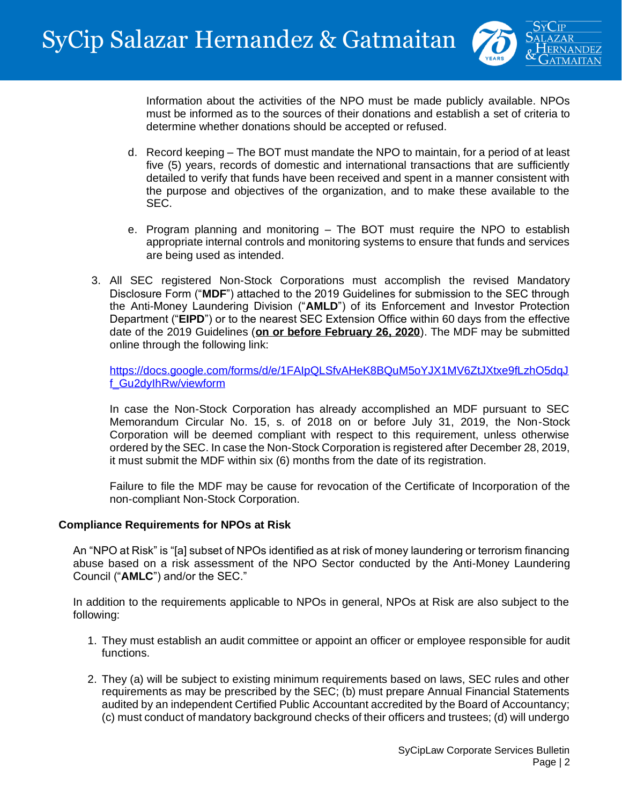

Information about the activities of the NPO must be made publicly available. NPOs must be informed as to the sources of their donations and establish a set of criteria to determine whether donations should be accepted or refused.

- d. Record keeping The BOT must mandate the NPO to maintain, for a period of at least five (5) years, records of domestic and international transactions that are sufficiently detailed to verify that funds have been received and spent in a manner consistent with the purpose and objectives of the organization, and to make these available to the SEC.
- e. Program planning and monitoring The BOT must require the NPO to establish appropriate internal controls and monitoring systems to ensure that funds and services are being used as intended.
- 3. All SEC registered Non-Stock Corporations must accomplish the revised Mandatory Disclosure Form ("**MDF**") attached to the 2019 Guidelines for submission to the SEC through the Anti-Money Laundering Division ("**AMLD**") of its Enforcement and Investor Protection Department ("**EIPD**") or to the nearest SEC Extension Office within 60 days from the effective date of the 2019 Guidelines (**on or before February 26, 2020**). The MDF may be submitted online through the following link:

[https://docs.google.com/forms/d/e/1FAIpQLSfvAHeK8BQuM5oYJX1MV6ZtJXtxe9fLzhO5dqJ](https://docs.google.com/forms/d/e/1FAIpQLSfvAHeK8BQuM5oYJX1MV6ZtJXtxe9fLzhO5dqJf_Gu2dyIhRw/viewform) [f\\_Gu2dyIhRw/viewform](https://docs.google.com/forms/d/e/1FAIpQLSfvAHeK8BQuM5oYJX1MV6ZtJXtxe9fLzhO5dqJf_Gu2dyIhRw/viewform)

In case the Non-Stock Corporation has already accomplished an MDF pursuant to SEC Memorandum Circular No. 15, s. of 2018 on or before July 31, 2019, the Non-Stock Corporation will be deemed compliant with respect to this requirement, unless otherwise ordered by the SEC. In case the Non-Stock Corporation is registered after December 28, 2019, it must submit the MDF within six (6) months from the date of its registration.

Failure to file the MDF may be cause for revocation of the Certificate of Incorporation of the non-compliant Non-Stock Corporation.

### **Compliance Requirements for NPOs at Risk**

An "NPO at Risk" is "[a] subset of NPOs identified as at risk of money laundering or terrorism financing abuse based on a risk assessment of the NPO Sector conducted by the Anti-Money Laundering Council ("**AMLC**") and/or the SEC."

In addition to the requirements applicable to NPOs in general, NPOs at Risk are also subject to the following:

- 1. They must establish an audit committee or appoint an officer or employee responsible for audit functions.
- 2. They (a) will be subject to existing minimum requirements based on laws, SEC rules and other requirements as may be prescribed by the SEC; (b) must prepare Annual Financial Statements audited by an independent Certified Public Accountant accredited by the Board of Accountancy; (c) must conduct of mandatory background checks of their officers and trustees; (d) will undergo